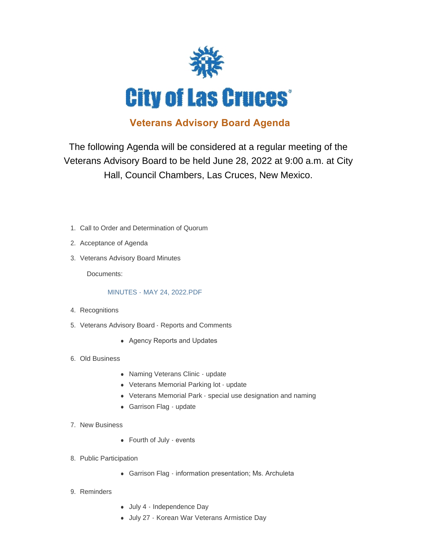

## **Veterans Advisory Board Agenda**

The following Agenda will be considered at a regular meeting of the Veterans Advisory Board to be held June 28, 2022 at 9:00 a.m. at City Hall, Council Chambers, Las Cruces, New Mexico.

- 1. Call to Order and Determination of Quorum
- 2. Acceptance of Agenda
- 3. Veterans Advisory Board Minutes

Documents:

## [MINUTES - MAY 24, 2022.PDF](https://www.las-cruces.org/AgendaCenter/ViewFile/Item/9730?fileID=15678)

- 4. Recognitions
- 5. Veterans Advisory Board Reports and Comments
	- Agency Reports and Updates
- Old Business 6.
	- Naming Veterans Clinic update
	- Veterans Memorial Parking lot update
	- Veterans Memorial Park special use designation and naming
	- Garrison Flag update
- 7. New Business
	- Fourth of July events
- 8. Public Participation
	- Garrison Flag information presentation; Ms. Archuleta
- 9. Reminders
- July 4 Independence Day
- July 27 Korean War Veterans Armistice Day